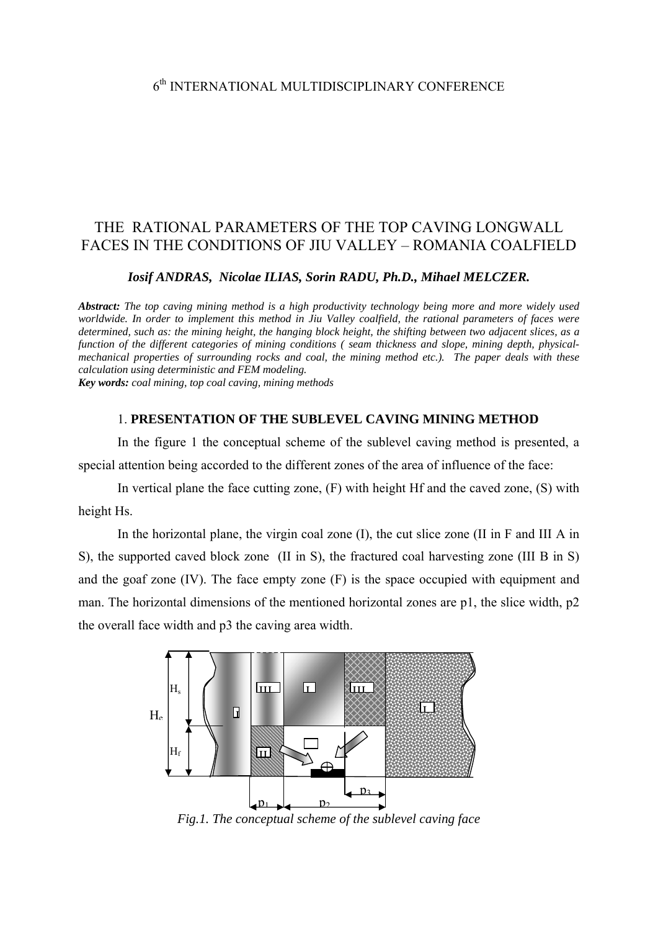# THE RATIONAL PARAMETERS OF THE TOP CAVING LONGWALL FACES IN THE CONDITIONS OF JIU VALLEY – ROMANIA COALFIELD

*Iosif ANDRAS, Nicolae ILIAS, Sorin RADU, Ph.D., Mihael MELCZER.* 

*Abstract: The top caving mining method is a high productivity technology being more and more widely used worldwide. In order to implement this method in Jiu Valley coalfield, the rational parameters of faces were determined, such as: the mining height, the hanging block height, the shifting between two adjacent slices, as a function of the different categories of mining conditions ( seam thickness and slope, mining depth, physicalmechanical properties of surrounding rocks and coal, the mining method etc.). The paper deals with these calculation using deterministic and FEM modeling.* 

*Key words: coal mining, top coal caving, mining methods* 

#### 1. **PRESENTATION OF THE SUBLEVEL CAVING MINING METHOD**

In the figure 1 the conceptual scheme of the sublevel caving method is presented, a special attention being accorded to the different zones of the area of influence of the face:

In vertical plane the face cutting zone,  $(F)$  with height Hf and the caved zone,  $(S)$  with height Hs.

In the horizontal plane, the virgin coal zone (I), the cut slice zone (II in F and III A in S), the supported caved block zone (II in S), the fractured coal harvesting zone (III B in S) and the goaf zone (IV). The face empty zone (F) is the space occupied with equipment and man. The horizontal dimensions of the mentioned horizontal zones are p1, the slice width, p2 the overall face width and p3 the caving area width.



*Fig.1. The conceptual scheme of the sublevel caving face*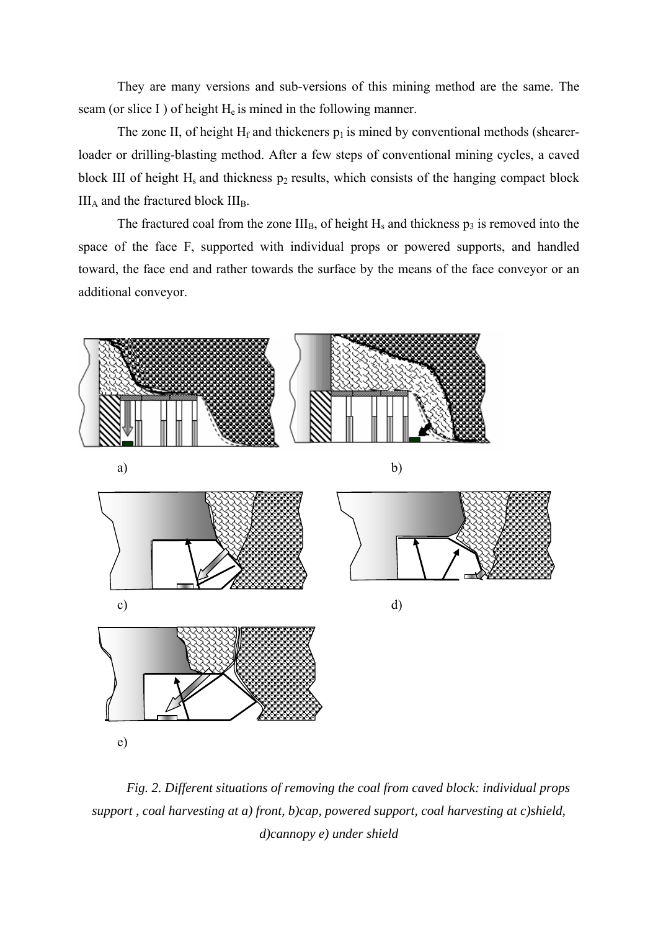They are many versions and sub-versions of this mining method are the same. The seam (or slice I) of height  $H_e$  is mined in the following manner.

The zone II, of height  $H_f$  and thickeners  $p_1$  is mined by conventional methods (shearerloader or drilling-blasting method. After a few steps of conventional mining cycles, a caved block III of height  $H_s$  and thickness  $p_2$  results, which consists of the hanging compact block  $III_A$  and the fractured block  $III_B$ .

The fractured coal from the zone  $III_B$ , of height  $H_s$  and thickness  $p_3$  is removed into the space of the face F, supported with individual props or powered supports, and handled toward, the face end and rather towards the surface by the means of the face conveyor or an additional conveyor.



*Fig. 2. Different situations of removing the coal from caved block: individual props support , coal harvesting at a) front, b)cap, powered support, coal harvesting at c)shield, d)cannopy e) under shield*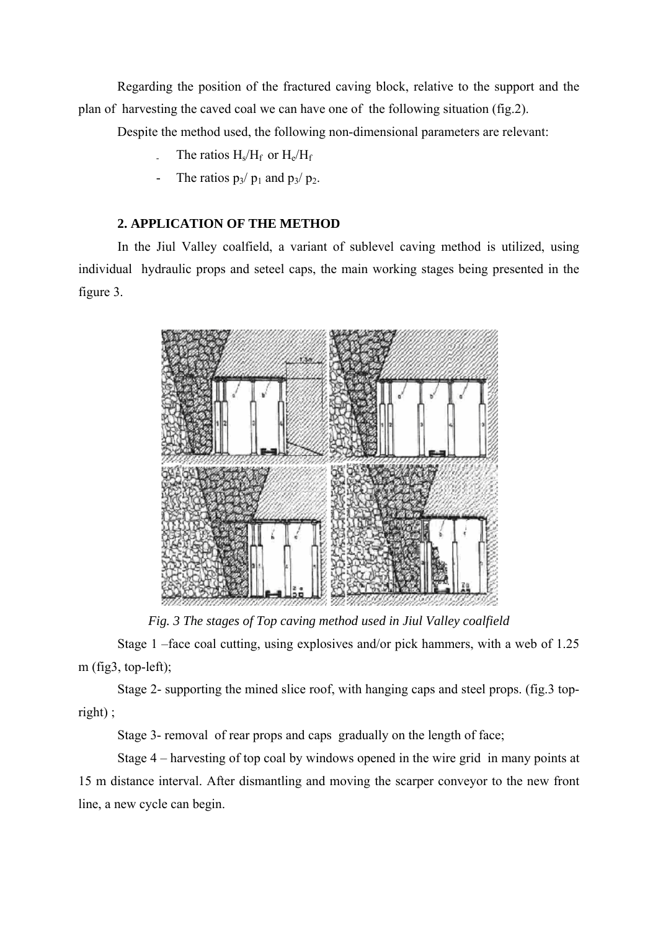Regarding the position of the fractured caving block, relative to the support and the plan of harvesting the caved coal we can have one of the following situation (fig.2).

Despite the method used, the following non-dimensional parameters are relevant:

- The ratios  $H_s/H_f$  or  $H_e/H_f$
- The ratios  $p_3/p_1$  and  $p_3/p_2$ .

## **2. APPLICATION OF THE METHOD**

In the Jiul Valley coalfield, a variant of sublevel caving method is utilized, using individual hydraulic props and seteel caps, the main working stages being presented in the figure 3.



*Fig. 3 The stages of Top caving method used in Jiul Valley coalfield* 

 Stage 1 –face coal cutting, using explosives and/or pick hammers, with a web of 1.25 m (fig3, top-left);

 Stage 2- supporting the mined slice roof, with hanging caps and steel props. (fig.3 topright) ;

Stage 3- removal of rear props and caps gradually on the length of face;

 Stage 4 – harvesting of top coal by windows opened in the wire grid in many points at 15 m distance interval. After dismantling and moving the scarper conveyor to the new front line, a new cycle can begin.